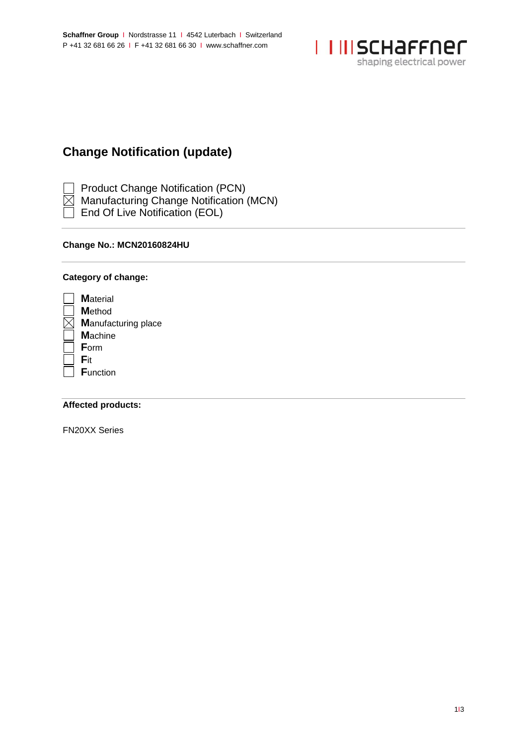

# **Change Notification (update)**

Product Change Notification (PCN)

- Manufacturing Change Notification (MCN)
- End Of Live Notification (EOL)

## **Change No.: MCN20160824HU**

## **Category of change:**

| <b>M</b> aterial           |
|----------------------------|
| <b>M</b> ethod             |
| <b>Manufacturing place</b> |
| <b>Machine</b>             |
| Form                       |
| Fit                        |
| <b>Function</b>            |
|                            |

### **Affected products:**

FN20XX Series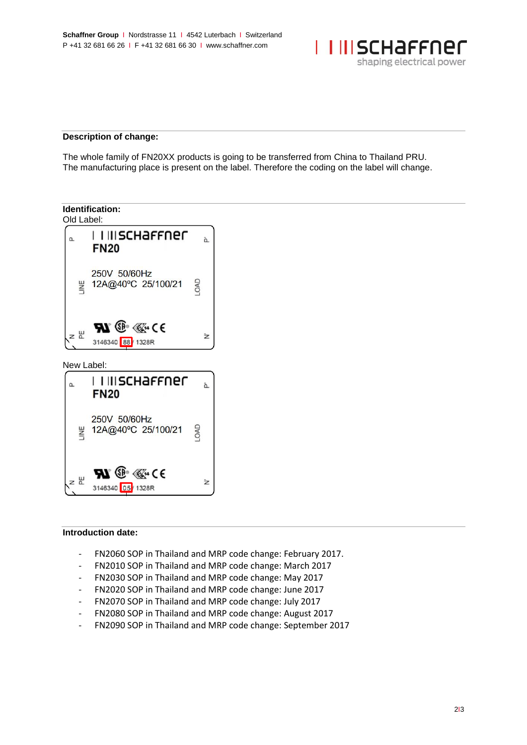

#### **Description of change:**

The whole family of FN20XX products is going to be transferred from China to Thailand PRU. The manufacturing place is present on the label. Therefore the coding on the label will change.



#### **Introduction date:**

- FN2060 SOP in Thailand and MRP code change: February 2017.
- FN2010 SOP in Thailand and MRP code change: March 2017
- FN2030 SOP in Thailand and MRP code change: May 2017
- FN2020 SOP in Thailand and MRP code change: June 2017
- FN2070 SOP in Thailand and MRP code change: July 2017
- FN2080 SOP in Thailand and MRP code change: August 2017
- FN2090 SOP in Thailand and MRP code change: September 2017